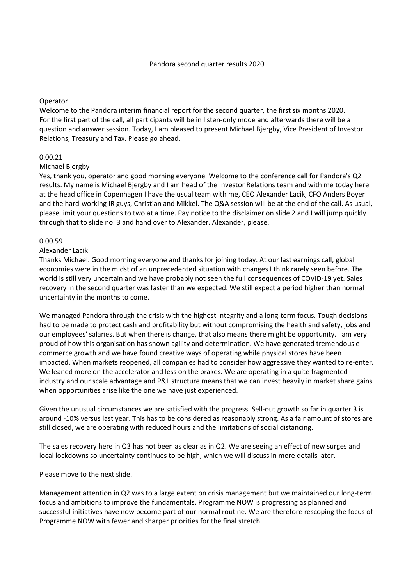### Operator

Welcome to the Pandora interim financial report for the second quarter, the first six months 2020. For the first part of the call, all participants will be in listen-only mode and afterwards there will be a question and answer session. Today, I am pleased to present Michael Bjergby, Vice President of Investor Relations, Treasury and Tax. Please go ahead.

# 0.00.21

### Michael Bjergby

Yes, thank you, operator and good morning everyone. Welcome to the conference call for Pandora's Q2 results. My name is Michael Bjergby and I am head of the Investor Relations team and with me today here at the head office in Copenhagen I have the usual team with me, CEO Alexander Lacik, CFO Anders Boyer and the hard-working IR guys, Christian and Mikkel. The Q&A session will be at the end of the call. As usual, please limit your questions to two at a time. Pay notice to the disclaimer on slide 2 and I will jump quickly through that to slide no. 3 and hand over to Alexander. Alexander, please.

### 0.00.59

#### Alexander Lacik

Thanks Michael. Good morning everyone and thanks for joining today. At our last earnings call, global economies were in the midst of an unprecedented situation with changes I think rarely seen before. The world is still very uncertain and we have probably not seen the full consequences of COVID-19 yet. Sales recovery in the second quarter was faster than we expected. We still expect a period higher than normal uncertainty in the months to come.

We managed Pandora through the crisis with the highest integrity and a long-term focus. Tough decisions had to be made to protect cash and profitability but without compromising the health and safety, jobs and our employees' salaries. But when there is change, that also means there might be opportunity. I am very proud of how this organisation has shown agility and determination. We have generated tremendous ecommerce growth and we have found creative ways of operating while physical stores have been impacted. When markets reopened, all companies had to consider how aggressive they wanted to re-enter. We leaned more on the accelerator and less on the brakes. We are operating in a quite fragmented industry and our scale advantage and P&L structure means that we can invest heavily in market share gains when opportunities arise like the one we have just experienced.

Given the unusual circumstances we are satisfied with the progress. Sell-out growth so far in quarter 3 is around -10% versus last year. This has to be considered as reasonably strong. As a fair amount of stores are still closed, we are operating with reduced hours and the limitations of social distancing.

The sales recovery here in Q3 has not been as clear as in Q2. We are seeing an effect of new surges and local lockdowns so uncertainty continues to be high, which we will discuss in more details later.

Please move to the next slide.

Management attention in Q2 was to a large extent on crisis management but we maintained our long-term focus and ambitions to improve the fundamentals. Programme NOW is progressing as planned and successful initiatives have now become part of our normal routine. We are therefore rescoping the focus of Programme NOW with fewer and sharper priorities for the final stretch.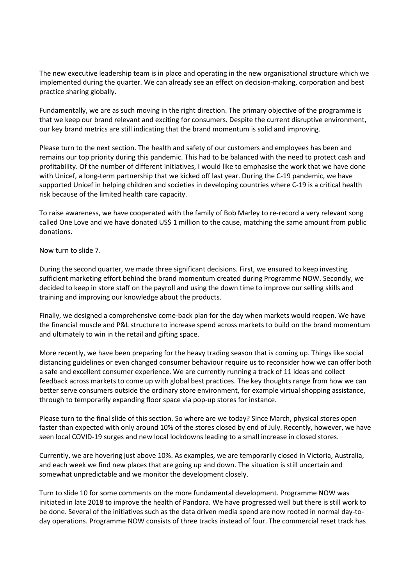The new executive leadership team is in place and operating in the new organisational structure which we implemented during the quarter. We can already see an effect on decision-making, corporation and best practice sharing globally.

Fundamentally, we are as such moving in the right direction. The primary objective of the programme is that we keep our brand relevant and exciting for consumers. Despite the current disruptive environment, our key brand metrics are still indicating that the brand momentum is solid and improving.

Please turn to the next section. The health and safety of our customers and employees has been and remains our top priority during this pandemic. This had to be balanced with the need to protect cash and profitability. Of the number of different initiatives, I would like to emphasise the work that we have done with Unicef, a long-term partnership that we kicked off last year. During the C-19 pandemic, we have supported Unicef in helping children and societies in developing countries where C-19 is a critical health risk because of the limited health care capacity.

To raise awareness, we have cooperated with the family of Bob Marley to re-record a very relevant song called One Love and we have donated US\$ 1 million to the cause, matching the same amount from public donations.

Now turn to slide 7.

During the second quarter, we made three significant decisions. First, we ensured to keep investing sufficient marketing effort behind the brand momentum created during Programme NOW. Secondly, we decided to keep in store staff on the payroll and using the down time to improve our selling skills and training and improving our knowledge about the products.

Finally, we designed a comprehensive come-back plan for the day when markets would reopen. We have the financial muscle and P&L structure to increase spend across markets to build on the brand momentum and ultimately to win in the retail and gifting space.

More recently, we have been preparing for the heavy trading season that is coming up. Things like social distancing guidelines or even changed consumer behaviour require us to reconsider how we can offer both a safe and excellent consumer experience. We are currently running a track of 11 ideas and collect feedback across markets to come up with global best practices. The key thoughts range from how we can better serve consumers outside the ordinary store environment, for example virtual shopping assistance, through to temporarily expanding floor space via pop-up stores for instance.

Please turn to the final slide of this section. So where are we today? Since March, physical stores open faster than expected with only around 10% of the stores closed by end of July. Recently, however, we have seen local COVID-19 surges and new local lockdowns leading to a small increase in closed stores.

Currently, we are hovering just above 10%. As examples, we are temporarily closed in Victoria, Australia, and each week we find new places that are going up and down. The situation is still uncertain and somewhat unpredictable and we monitor the development closely.

Turn to slide 10 for some comments on the more fundamental development. Programme NOW was initiated in late 2018 to improve the health of Pandora. We have progressed well but there is still work to be done. Several of the initiatives such as the data driven media spend are now rooted in normal day-today operations. Programme NOW consists of three tracks instead of four. The commercial reset track has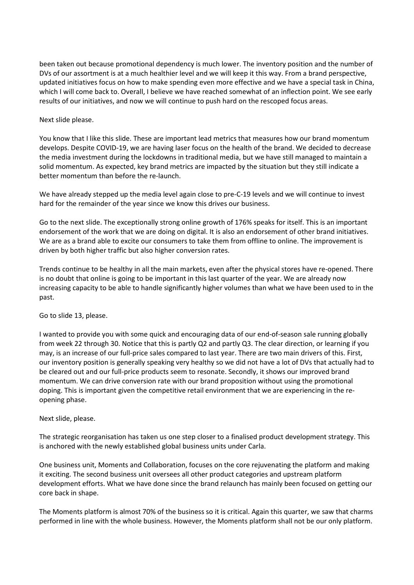been taken out because promotional dependency is much lower. The inventory position and the number of DVs of our assortment is at a much healthier level and we will keep it this way. From a brand perspective, updated initiatives focus on how to make spending even more effective and we have a special task in China, which I will come back to. Overall, I believe we have reached somewhat of an inflection point. We see early results of our initiatives, and now we will continue to push hard on the rescoped focus areas.

# Next slide please.

You know that I like this slide. These are important lead metrics that measures how our brand momentum develops. Despite COVID-19, we are having laser focus on the health of the brand. We decided to decrease the media investment during the lockdowns in traditional media, but we have still managed to maintain a solid momentum. As expected, key brand metrics are impacted by the situation but they still indicate a better momentum than before the re-launch.

We have already stepped up the media level again close to pre-C-19 levels and we will continue to invest hard for the remainder of the year since we know this drives our business.

Go to the next slide. The exceptionally strong online growth of 176% speaks for itself. This is an important endorsement of the work that we are doing on digital. It is also an endorsement of other brand initiatives. We are as a brand able to excite our consumers to take them from offline to online. The improvement is driven by both higher traffic but also higher conversion rates.

Trends continue to be healthy in all the main markets, even after the physical stores have re-opened. There is no doubt that online is going to be important in this last quarter of the year. We are already now increasing capacity to be able to handle significantly higher volumes than what we have been used to in the past.

Go to slide 13, please.

I wanted to provide you with some quick and encouraging data of our end-of-season sale running globally from week 22 through 30. Notice that this is partly Q2 and partly Q3. The clear direction, or learning if you may, is an increase of our full-price sales compared to last year. There are two main drivers of this. First, our inventory position is generally speaking very healthy so we did not have a lot of DVs that actually had to be cleared out and our full-price products seem to resonate. Secondly, it shows our improved brand momentum. We can drive conversion rate with our brand proposition without using the promotional doping. This is important given the competitive retail environment that we are experiencing in the reopening phase.

# Next slide, please.

The strategic reorganisation has taken us one step closer to a finalised product development strategy. This is anchored with the newly established global business units under Carla.

One business unit, Moments and Collaboration, focuses on the core rejuvenating the platform and making it exciting. The second business unit oversees all other product categories and upstream platform development efforts. What we have done since the brand relaunch has mainly been focused on getting our core back in shape.

The Moments platform is almost 70% of the business so it is critical. Again this quarter, we saw that charms performed in line with the whole business. However, the Moments platform shall not be our only platform.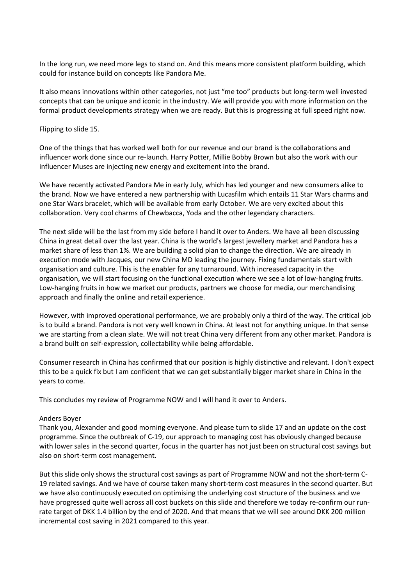In the long run, we need more legs to stand on. And this means more consistent platform building, which could for instance build on concepts like Pandora Me.

It also means innovations within other categories, not just "me too" products but long-term well invested concepts that can be unique and iconic in the industry. We will provide you with more information on the formal product developments strategy when we are ready. But this is progressing at full speed right now.

### Flipping to slide 15.

One of the things that has worked well both for our revenue and our brand is the collaborations and influencer work done since our re-launch. Harry Potter, Millie Bobby Brown but also the work with our influencer Muses are injecting new energy and excitement into the brand.

We have recently activated Pandora Me in early July, which has led younger and new consumers alike to the brand. Now we have entered a new partnership with Lucasfilm which entails 11 Star Wars charms and one Star Wars bracelet, which will be available from early October. We are very excited about this collaboration. Very cool charms of Chewbacca, Yoda and the other legendary characters.

The next slide will be the last from my side before I hand it over to Anders. We have all been discussing China in great detail over the last year. China is the world's largest jewellery market and Pandora has a market share of less than 1%. We are building a solid plan to change the direction. We are already in execution mode with Jacques, our new China MD leading the journey. Fixing fundamentals start with organisation and culture. This is the enabler for any turnaround. With increased capacity in the organisation, we will start focusing on the functional execution where we see a lot of low-hanging fruits. Low-hanging fruits in how we market our products, partners we choose for media, our merchandising approach and finally the online and retail experience.

However, with improved operational performance, we are probably only a third of the way. The critical job is to build a brand. Pandora is not very well known in China. At least not for anything unique. In that sense we are starting from a clean slate. We will not treat China very different from any other market. Pandora is a brand built on self-expression, collectability while being affordable.

Consumer research in China has confirmed that our position is highly distinctive and relevant. I don't expect this to be a quick fix but I am confident that we can get substantially bigger market share in China in the years to come.

This concludes my review of Programme NOW and I will hand it over to Anders.

# Anders Boyer

Thank you, Alexander and good morning everyone. And please turn to slide 17 and an update on the cost programme. Since the outbreak of C-19, our approach to managing cost has obviously changed because with lower sales in the second quarter, focus in the quarter has not just been on structural cost savings but also on short-term cost management.

But this slide only shows the structural cost savings as part of Programme NOW and not the short-term C-19 related savings. And we have of course taken many short-term cost measures in the second quarter. But we have also continuously executed on optimising the underlying cost structure of the business and we have progressed quite well across all cost buckets on this slide and therefore we today re-confirm our runrate target of DKK 1.4 billion by the end of 2020. And that means that we will see around DKK 200 million incremental cost saving in 2021 compared to this year.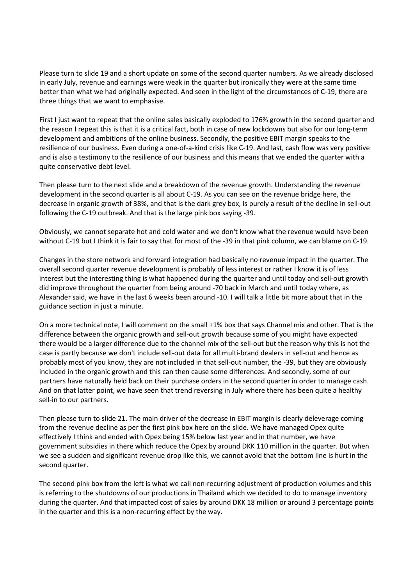Please turn to slide 19 and a short update on some of the second quarter numbers. As we already disclosed in early July, revenue and earnings were weak in the quarter but ironically they were at the same time better than what we had originally expected. And seen in the light of the circumstances of C-19, there are three things that we want to emphasise.

First I just want to repeat that the online sales basically exploded to 176% growth in the second quarter and the reason I repeat this is that it is a critical fact, both in case of new lockdowns but also for our long-term development and ambitions of the online business. Secondly, the positive EBIT margin speaks to the resilience of our business. Even during a one-of-a-kind crisis like C-19. And last, cash flow was very positive and is also a testimony to the resilience of our business and this means that we ended the quarter with a quite conservative debt level.

Then please turn to the next slide and a breakdown of the revenue growth. Understanding the revenue development in the second quarter is all about C-19. As you can see on the revenue bridge here, the decrease in organic growth of 38%, and that is the dark grey box, is purely a result of the decline in sell-out following the C-19 outbreak. And that is the large pink box saying -39.

Obviously, we cannot separate hot and cold water and we don't know what the revenue would have been without C-19 but I think it is fair to say that for most of the -39 in that pink column, we can blame on C-19.

Changes in the store network and forward integration had basically no revenue impact in the quarter. The overall second quarter revenue development is probably of less interest or rather I know it is of less interest but the interesting thing is what happened during the quarter and until today and sell-out growth did improve throughout the quarter from being around -70 back in March and until today where, as Alexander said, we have in the last 6 weeks been around -10. I will talk a little bit more about that in the guidance section in just a minute.

On a more technical note, I will comment on the small +1% box that says Channel mix and other. That is the difference between the organic growth and sell-out growth because some of you might have expected there would be a larger difference due to the channel mix of the sell-out but the reason why this is not the case is partly because we don't include sell-out data for all multi-brand dealers in sell-out and hence as probably most of you know, they are not included in that sell-out number, the -39, but they are obviously included in the organic growth and this can then cause some differences. And secondly, some of our partners have naturally held back on their purchase orders in the second quarter in order to manage cash. And on that latter point, we have seen that trend reversing in July where there has been quite a healthy sell-in to our partners.

Then please turn to slide 21. The main driver of the decrease in EBIT margin is clearly deleverage coming from the revenue decline as per the first pink box here on the slide. We have managed Opex quite effectively I think and ended with Opex being 15% below last year and in that number, we have government subsidies in there which reduce the Opex by around DKK 110 million in the quarter. But when we see a sudden and significant revenue drop like this, we cannot avoid that the bottom line is hurt in the second quarter.

The second pink box from the left is what we call non-recurring adjustment of production volumes and this is referring to the shutdowns of our productions in Thailand which we decided to do to manage inventory during the quarter. And that impacted cost of sales by around DKK 18 million or around 3 percentage points in the quarter and this is a non-recurring effect by the way.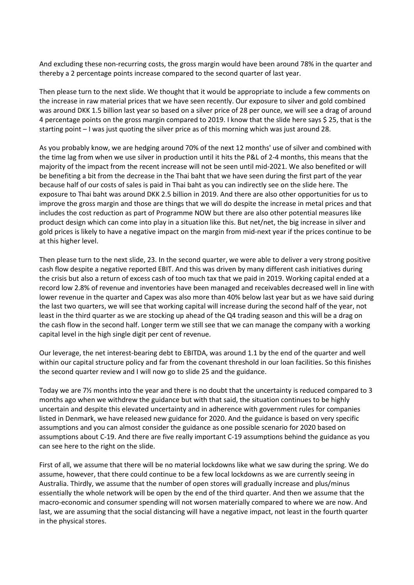And excluding these non-recurring costs, the gross margin would have been around 78% in the quarter and thereby a 2 percentage points increase compared to the second quarter of last year.

Then please turn to the next slide. We thought that it would be appropriate to include a few comments on the increase in raw material prices that we have seen recently. Our exposure to silver and gold combined was around DKK 1.5 billion last year so based on a silver price of 28 per ounce, we will see a drag of around 4 percentage points on the gross margin compared to 2019. I know that the slide here says \$ 25, that is the starting point – I was just quoting the silver price as of this morning which was just around 28.

As you probably know, we are hedging around 70% of the next 12 months' use of silver and combined with the time lag from when we use silver in production until it hits the P&L of 2-4 months, this means that the majority of the impact from the recent increase will not be seen until mid-2021. We also benefited or will be benefiting a bit from the decrease in the Thai baht that we have seen during the first part of the year because half of our costs of sales is paid in Thai baht as you can indirectly see on the slide here. The exposure to Thai baht was around DKK 2.5 billion in 2019. And there are also other opportunities for us to improve the gross margin and those are things that we will do despite the increase in metal prices and that includes the cost reduction as part of Programme NOW but there are also other potential measures like product design which can come into play in a situation like this. But net/net, the big increase in silver and gold prices is likely to have a negative impact on the margin from mid-next year if the prices continue to be at this higher level.

Then please turn to the next slide, 23. In the second quarter, we were able to deliver a very strong positive cash flow despite a negative reported EBIT. And this was driven by many different cash initiatives during the crisis but also a return of excess cash of too much tax that we paid in 2019. Working capital ended at a record low 2.8% of revenue and inventories have been managed and receivables decreased well in line with lower revenue in the quarter and Capex was also more than 40% below last year but as we have said during the last two quarters, we will see that working capital will increase during the second half of the year, not least in the third quarter as we are stocking up ahead of the Q4 trading season and this will be a drag on the cash flow in the second half. Longer term we still see that we can manage the company with a working capital level in the high single digit per cent of revenue.

Our leverage, the net interest-bearing debt to EBITDA, was around 1.1 by the end of the quarter and well within our capital structure policy and far from the covenant threshold in our loan facilities. So this finishes the second quarter review and I will now go to slide 25 and the guidance.

Today we are 7½ months into the year and there is no doubt that the uncertainty is reduced compared to 3 months ago when we withdrew the guidance but with that said, the situation continues to be highly uncertain and despite this elevated uncertainty and in adherence with government rules for companies listed in Denmark, we have released new guidance for 2020. And the guidance is based on very specific assumptions and you can almost consider the guidance as one possible scenario for 2020 based on assumptions about C-19. And there are five really important C-19 assumptions behind the guidance as you can see here to the right on the slide.

First of all, we assume that there will be no material lockdowns like what we saw during the spring. We do assume, however, that there could continue to be a few local lockdowns as we are currently seeing in Australia. Thirdly, we assume that the number of open stores will gradually increase and plus/minus essentially the whole network will be open by the end of the third quarter. And then we assume that the macro-economic and consumer spending will not worsen materially compared to where we are now. And last, we are assuming that the social distancing will have a negative impact, not least in the fourth quarter in the physical stores.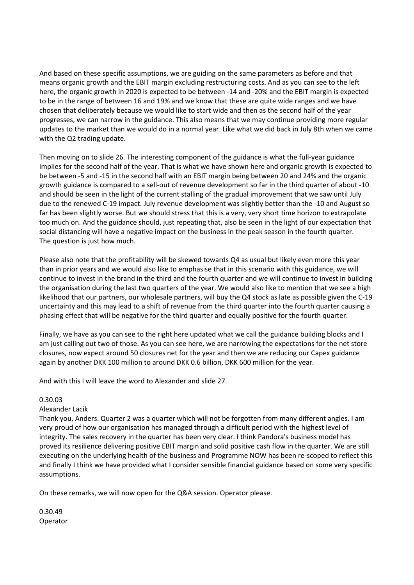And based on these specific assumptions, we are guiding on the same parameters as before and that means organic growth and the EBIT margin excluding restructuring costs. And as you can see to the left here, the organic growth in 2020 is expected to be between -14 and -20% and the EBIT margin is expected to be in the range of between 16 and 19% and we know that these are quite wide ranges and we have chosen that deliberately because we would like to start wide and then as the second half of the year progresses, we can narrow in the guidance. This also means that we may continue providing more regular updates to the market than we would do in a normal year. Like what we did back in July 8th when we came with the Q2 trading update.

Then moving on to slide 26. The interesting component of the guidance is what the full-year guidance implies for the second half of the year. That is what we have shown here and organic growth is expected to be between -5 and -15 in the second half with an EBIT margin being between 20 and 24% and the organic growth guidance is compared to a sell-out of revenue development so far in the third quarter of about -10 and should be seen in the light of the current stalling of the gradual improvement that we saw until July due to the renewed C-19 impact. July revenue development was slightly better than the -10 and August so far has been slightly worse. But we should stress that this is a very, very short time horizon to extrapolate too much on. And the guidance should, just repeating that, also be seen in the light of our expectation that social distancing will have a negative impact on the business in the peak season in the fourth quarter. The question is just how much.

Please also note that the profitability will be skewed towards Q4 as usual but likely even more this year than in prior years and we would also like to emphasise that in this scenario with this guidance, we will continue to invest in the brand in the third and the fourth quarter and we will continue to invest in building the organisation during the last two quarters of the year. We would also like to mention that we see a high likelihood that our partners, our wholesale partners, will buy the Q4 stock as late as possible given the C-19 uncertainty and this may lead to a shift of revenue from the third quarter into the fourth quarter causing a phasing effect that will be negative for the third quarter and equally positive for the fourth quarter.

Finally, we have as you can see to the right here updated what we call the guidance building blocks and I am just calling out two of those. As you can see here, we are narrowing the expectations for the net store closures, now expect around 50 closures net for the year and then we are reducing our Capex guidance again by another DKK 100 million to around DKK 0.6 billion, DKK 600 million for the year.

And with this I will leave the word to Alexander and slide 27.

# 0.30.03

# Alexander Lacik

Thank you, Anders. Quarter 2 was a quarter which will not be forgotten from many different angles. I am very proud of how our organisation has managed through a difficult period with the highest level of integrity. The sales recovery in the quarter has been very clear. I think Pandora's business model has proved its resilience delivering positive EBIT margin and solid positive cash flow in the quarter. We are still executing on the underlying health of the business and Programme NOW has been re-scoped to reflect this and finally I think we have provided what I consider sensible financial guidance based on some very specific assumptions.

On these remarks, we will now open for the Q&A session. Operator please.

0.30.49 Operator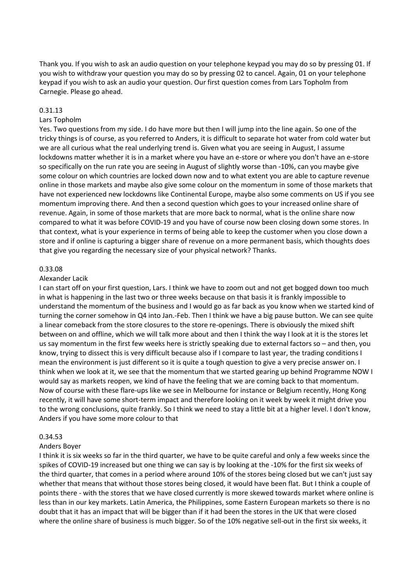Thank you. If you wish to ask an audio question on your telephone keypad you may do so by pressing 01. If you wish to withdraw your question you may do so by pressing 02 to cancel. Again, 01 on your telephone keypad if you wish to ask an audio your question. Our first question comes from Lars Topholm from Carnegie. Please go ahead.

### 0.31.13

### Lars Topholm

Yes. Two questions from my side. I do have more but then I will jump into the line again. So one of the tricky things is of course, as you referred to Anders, it is difficult to separate hot water from cold water but we are all curious what the real underlying trend is. Given what you are seeing in August, I assume lockdowns matter whether it is in a market where you have an e-store or where you don't have an e-store so specifically on the run rate you are seeing in August of slightly worse than -10%, can you maybe give some colour on which countries are locked down now and to what extent you are able to capture revenue online in those markets and maybe also give some colour on the momentum in some of those markets that have not experienced new lockdowns like Continental Europe, maybe also some comments on US if you see momentum improving there. And then a second question which goes to your increased online share of revenue. Again, in some of those markets that are more back to normal, what is the online share now compared to what it was before COVID-19 and you have of course now been closing down some stores. In that context, what is your experience in terms of being able to keep the customer when you close down a store and if online is capturing a bigger share of revenue on a more permanent basis, which thoughts does that give you regarding the necessary size of your physical network? Thanks.

#### 0.33.08

#### Alexander Lacik

I can start off on your first question, Lars. I think we have to zoom out and not get bogged down too much in what is happening in the last two or three weeks because on that basis it is frankly impossible to understand the momentum of the business and I would go as far back as you know when we started kind of turning the corner somehow in Q4 into Jan.-Feb. Then I think we have a big pause button. We can see quite a linear comeback from the store closures to the store re-openings. There is obviously the mixed shift between on and offline, which we will talk more about and then I think the way I look at it is the stores let us say momentum in the first few weeks here is strictly speaking due to external factors so – and then, you know, trying to dissect this is very difficult because also if I compare to last year, the trading conditions I mean the environment is just different so it is quite a tough question to give a very precise answer on. I think when we look at it, we see that the momentum that we started gearing up behind Programme NOW I would say as markets reopen, we kind of have the feeling that we are coming back to that momentum. Now of course with these flare-ups like we see in Melbourne for instance or Belgium recently, Hong Kong recently, it will have some short-term impact and therefore looking on it week by week it might drive you to the wrong conclusions, quite frankly. So I think we need to stay a little bit at a higher level. I don't know, Anders if you have some more colour to that

#### 0.34.53

#### Anders Boyer

I think it is six weeks so far in the third quarter, we have to be quite careful and only a few weeks since the spikes of COVID-19 increased but one thing we can say is by looking at the -10% for the first six weeks of the third quarter, that comes in a period where around 10% of the stores being closed but we can't just say whether that means that without those stores being closed, it would have been flat. But I think a couple of points there - with the stores that we have closed currently is more skewed towards market where online is less than in our key markets. Latin America, the Philippines, some Eastern European markets so there is no doubt that it has an impact that will be bigger than if it had been the stores in the UK that were closed where the online share of business is much bigger. So of the 10% negative sell-out in the first six weeks, it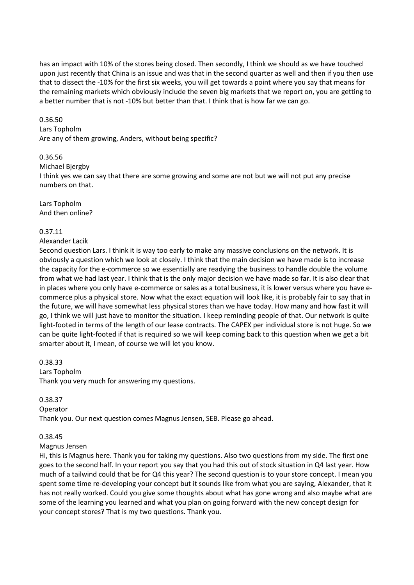has an impact with 10% of the stores being closed. Then secondly, I think we should as we have touched upon just recently that China is an issue and was that in the second quarter as well and then if you then use that to dissect the -10% for the first six weeks, you will get towards a point where you say that means for the remaining markets which obviously include the seven big markets that we report on, you are getting to a better number that is not -10% but better than that. I think that is how far we can go.

# 0.36.50

#### Lars Topholm

Are any of them growing, Anders, without being specific?

# 0.36.56

Michael Bjergby

I think yes we can say that there are some growing and some are not but we will not put any precise numbers on that.

Lars Topholm And then online?

### 0.37.11

#### Alexander Lacik

Second question Lars. I think it is way too early to make any massive conclusions on the network. It is obviously a question which we look at closely. I think that the main decision we have made is to increase the capacity for the e-commerce so we essentially are readying the business to handle double the volume from what we had last year. I think that is the only major decision we have made so far. It is also clear that in places where you only have e-commerce or sales as a total business, it is lower versus where you have ecommerce plus a physical store. Now what the exact equation will look like, it is probably fair to say that in the future, we will have somewhat less physical stores than we have today. How many and how fast it will go, I think we will just have to monitor the situation. I keep reminding people of that. Our network is quite light-footed in terms of the length of our lease contracts. The CAPEX per individual store is not huge. So we can be quite light-footed if that is required so we will keep coming back to this question when we get a bit smarter about it, I mean, of course we will let you know.

0.38.33 Lars Topholm Thank you very much for answering my questions.

0.38.37

#### Operator

Thank you. Our next question comes Magnus Jensen, SEB. Please go ahead.

# 0.38.45

### Magnus Jensen

Hi, this is Magnus here. Thank you for taking my questions. Also two questions from my side. The first one goes to the second half. In your report you say that you had this out of stock situation in Q4 last year. How much of a tailwind could that be for Q4 this year? The second question is to your store concept. I mean you spent some time re-developing your concept but it sounds like from what you are saying, Alexander, that it has not really worked. Could you give some thoughts about what has gone wrong and also maybe what are some of the learning you learned and what you plan on going forward with the new concept design for your concept stores? That is my two questions. Thank you.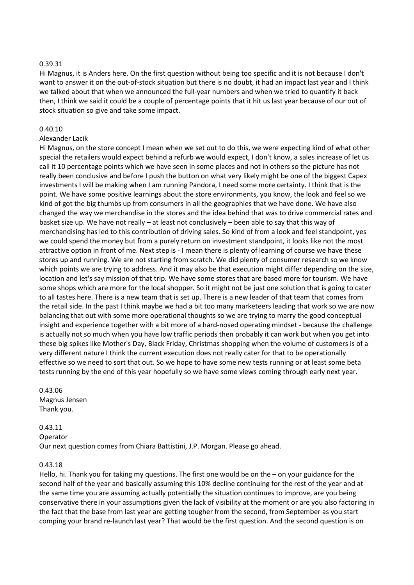### 0.39.31

Hi Magnus, it is Anders here. On the first question without being too specific and it is not because I don't want to answer it on the out-of-stock situation but there is no doubt, it had an impact last year and I think we talked about that when we announced the full-year numbers and when we tried to quantify it back then, I think we said it could be a couple of percentage points that it hit us last year because of our out of stock situation so give and take some impact.

### 0.40.10

### Alexander Lacik

Hi Magnus, on the store concept I mean when we set out to do this, we were expecting kind of what other special the retailers would expect behind a refurb we would expect, I don't know, a sales increase of let us call it 10 percentage points which we have seen in some places and not in others so the picture has not really been conclusive and before I push the button on what very likely might be one of the biggest Capex investments I will be making when I am running Pandora, I need some more certainty. I think that is the point. We have some positive learnings about the store environments, you know, the look and feel so we kind of got the big thumbs up from consumers in all the geographies that we have done. We have also changed the way we merchandise in the stores and the idea behind that was to drive commercial rates and basket size up. We have not really – at least not conclusively – been able to say that this way of merchandising has led to this contribution of driving sales. So kind of from a look and feel standpoint, yes we could spend the money but from a purely return on investment standpoint, it looks like not the most attractive option in front of me. Next step is - I mean there is plenty of learning of course we have these stores up and running. We are not starting from scratch. We did plenty of consumer research so we know which points we are trying to address. And it may also be that execution might differ depending on the size, location and let's say mission of that trip. We have some stores that are based more for tourism. We have some shops which are more for the local shopper. So it might not be just one solution that is going to cater to all tastes here. There is a new team that is set up. There is a new leader of that team that comes from the retail side. In the past I think maybe we had a bit too many marketeers leading that work so we are now balancing that out with some more operational thoughts so we are trying to marry the good conceptual insight and experience together with a bit more of a hard-nosed operating mindset - because the challenge is actually not so much when you have low traffic periods then probably it can work but when you get into these big spikes like Mother's Day, Black Friday, Christmas shopping when the volume of customers is of a very different nature I think the current execution does not really cater for that to be operationally effective so we need to sort that out. So we hope to have some new tests running or at least some beta tests running by the end of this year hopefully so we have some views coming through early next year.

0.43.06 Magnus Jensen Thank you.

# 0.43.11

Operator Our next question comes from Chiara Battistini, J.P. Morgan. Please go ahead.

#### 0.43.18

Hello, hi. Thank you for taking my questions. The first one would be on the – on your guidance for the second half of the year and basically assuming this 10% decline continuing for the rest of the year and at the same time you are assuming actually potentially the situation continues to improve, are you being conservative there in your assumptions given the lack of visibility at the moment or are you also factoring in the fact that the base from last year are getting tougher from the second, from September as you start comping your brand re-launch last year? That would be the first question. And the second question is on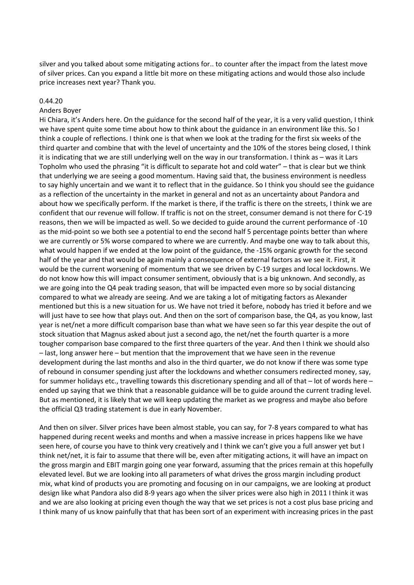silver and you talked about some mitigating actions for.. to counter after the impact from the latest move of silver prices. Can you expand a little bit more on these mitigating actions and would those also include price increases next year? Thank you.

#### 0.44.20

#### Anders Boyer

Hi Chiara, it's Anders here. On the guidance for the second half of the year, it is a very valid question, I think we have spent quite some time about how to think about the guidance in an environment like this. So I think a couple of reflections. I think one is that when we look at the trading for the first six weeks of the third quarter and combine that with the level of uncertainty and the 10% of the stores being closed, I think it is indicating that we are still underlying well on the way in our transformation. I think as – was it Lars Topholm who used the phrasing "it is difficult to separate hot and cold water" – that is clear but we think that underlying we are seeing a good momentum. Having said that, the business environment is needless to say highly uncertain and we want it to reflect that in the guidance. So I think you should see the guidance as a reflection of the uncertainty in the market in general and not as an uncertainty about Pandora and about how we specifically perform. If the market is there, if the traffic is there on the streets, I think we are confident that our revenue will follow. If traffic is not on the street, consumer demand is not there for C-19 reasons, then we will be impacted as well. So we decided to guide around the current performance of -10 as the mid-point so we both see a potential to end the second half 5 percentage points better than where we are currently or 5% worse compared to where we are currently. And maybe one way to talk about this, what would happen if we ended at the low point of the guidance, the -15% organic growth for the second half of the year and that would be again mainly a consequence of external factors as we see it. First, it would be the current worsening of momentum that we see driven by C-19 surges and local lockdowns. We do not know how this will impact consumer sentiment, obviously that is a big unknown. And secondly, as we are going into the Q4 peak trading season, that will be impacted even more so by social distancing compared to what we already are seeing. And we are taking a lot of mitigating factors as Alexander mentioned but this is a new situation for us. We have not tried it before, nobody has tried it before and we will just have to see how that plays out. And then on the sort of comparison base, the Q4, as you know, last year is net/net a more difficult comparison base than what we have seen so far this year despite the out of stock situation that Magnus asked about just a second ago, the net/net the fourth quarter is a more tougher comparison base compared to the first three quarters of the year. And then I think we should also – last, long answer here – but mention that the improvement that we have seen in the revenue development during the last months and also in the third quarter, we do not know if there was some type of rebound in consumer spending just after the lockdowns and whether consumers redirected money, say, for summer holidays etc., travelling towards this discretionary spending and all of that – lot of words here – ended up saying that we think that a reasonable guidance will be to guide around the current trading level. But as mentioned, it is likely that we will keep updating the market as we progress and maybe also before the official Q3 trading statement is due in early November.

And then on silver. Silver prices have been almost stable, you can say, for 7-8 years compared to what has happened during recent weeks and months and when a massive increase in prices happens like we have seen here, of course you have to think very creatively and I think we can't give you a full answer yet but I think net/net, it is fair to assume that there will be, even after mitigating actions, it will have an impact on the gross margin and EBIT margin going one year forward, assuming that the prices remain at this hopefully elevated level. But we are looking into all parameters of what drives the gross margin including product mix, what kind of products you are promoting and focusing on in our campaigns, we are looking at product design like what Pandora also did 8-9 years ago when the silver prices were also high in 2011 I think it was and we are also looking at pricing even though the way that we set prices is not a cost plus base pricing and I think many of us know painfully that that has been sort of an experiment with increasing prices in the past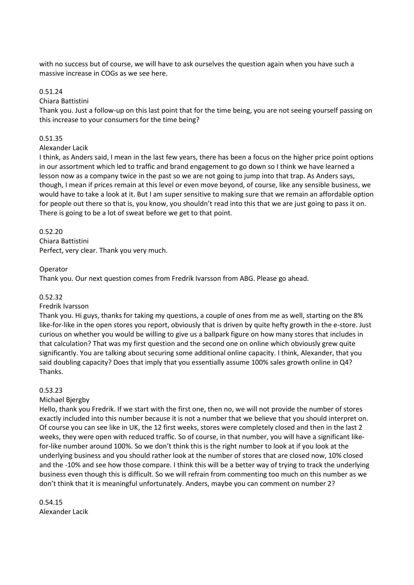with no success but of course, we will have to ask ourselves the question again when you have such a massive increase in COGs as we see here.

# 0.51.24

# Chiara Battistini

Thank you. Just a follow-up on this last point that for the time being, you are not seeing yourself passing on this increase to your consumers for the time being?

# 0.51.35

# Alexander Lacik

I think, as Anders said, I mean in the last few years, there has been a focus on the higher price point options in our assortment which led to traffic and brand engagement to go down so I think we have learned a lesson now as a company twice in the past so we are not going to jump into that trap. As Anders says, though, I mean if prices remain at this level or even move beyond, of course, like any sensible business, we would have to take a look at it. But I am super sensitive to making sure that we remain an affordable option for people out there so that is, you know, you shouldn't read into this that we are just going to pass it on. There is going to be a lot of sweat before we get to that point.

# 0.52.20

Chiara Battistini Perfect, very clear. Thank you very much.

# Operator

Thank you. Our next question comes from Fredrik Ivarsson from ABG. Please go ahead.

# 0.52.32

# Fredrik Ivarsson

Thank you. Hi guys, thanks for taking my questions, a couple of ones from me as well, starting on the 8% like-for-like in the open stores you report, obviously that is driven by quite hefty growth in the e-store. Just curious on whether you would be willing to give us a ballpark figure on how many stores that includes in that calculation? That was my first question and the second one on online which obviously grew quite significantly. You are talking about securing some additional online capacity. I think, Alexander, that you said doubling capacity? Does that imply that you essentially assume 100% sales growth online in Q4? Thanks.

# 0.53.23

# Michael Bjergby

Hello, thank you Fredrik. If we start with the first one, then no, we will not provide the number of stores exactly included into this number because it is not a number that we believe that you should interpret on. Of course you can see like in UK, the 12 first weeks, stores were completely closed and then in the last 2 weeks, they were open with reduced traffic. So of course, in that number, you will have a significant likefor-like number around 100%. So we don't think this is the right number to look at if you look at the underlying business and you should rather look at the number of stores that are closed now, 10% closed and the -10% and see how those compare. I think this will be a better way of trying to track the underlying business even though this is difficult. So we will refrain from commenting too much on this number as we don't think that it is meaningful unfortunately. Anders, maybe you can comment on number 2?

0.54.15 Alexander Lacik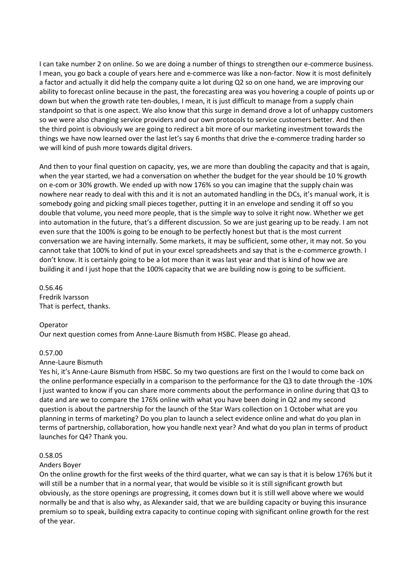I can take number 2 on online. So we are doing a number of things to strengthen our e-commerce business. I mean, you go back a couple of years here and e-commerce was like a non-factor. Now it is most definitely a factor and actually it did help the company quite a lot during Q2 so on one hand, we are improving our ability to forecast online because in the past, the forecasting area was you hovering a couple of points up or down but when the growth rate ten-doubles, I mean, it is just difficult to manage from a supply chain standpoint so that is one aspect. We also know that this surge in demand drove a lot of unhappy customers so we were also changing service providers and our own protocols to service customers better. And then the third point is obviously we are going to redirect a bit more of our marketing investment towards the things we have now learned over the last let's say 6 months that drive the e-commerce trading harder so we will kind of push more towards digital drivers.

And then to your final question on capacity, yes, we are more than doubling the capacity and that is again, when the year started, we had a conversation on whether the budget for the year should be 10 % growth on e-com or 30% growth. We ended up with now 176% so you can imagine that the supply chain was nowhere near ready to deal with this and it is not an automated handling in the DCs, it's manual work, it is somebody going and picking small pieces together, putting it in an envelope and sending it off so you double that volume, you need more people, that is the simple way to solve it right now. Whether we get into automation in the future, that's a different discussion. So we are just gearing up to be ready. I am not even sure that the 100% is going to be enough to be perfectly honest but that is the most current conversation we are having internally. Some markets, it may be sufficient, some other, it may not. So you cannot take that 100% to kind of put in your excel spreadsheets and say that is the e-commerce growth. I don't know. It is certainly going to be a lot more than it was last year and that is kind of how we are building it and I just hope that the 100% capacity that we are building now is going to be sufficient.

0.56.46 Fredrik Ivarsson That is perfect, thanks.

#### Operator

Our next question comes from Anne-Laure Bismuth from HSBC. Please go ahead.

# 0.57.00

#### Anne-Laure Bismuth

Yes hi, it's Anne-Laure Bismuth from HSBC. So my two questions are first on the I would to come back on the online performance especially in a comparison to the performance for the Q3 to date through the -10% I just wanted to know if you can share more comments about the performance in online during that Q3 to date and are we to compare the 176% online with what you have been doing in Q2 and my second question is about the partnership for the launch of the Star Wars collection on 1 October what are you planning in terms of marketing? Do you plan to launch a select evidence online and what do you plan in terms of partnership, collaboration, how you handle next year? And what do you plan in terms of product launches for Q4? Thank you.

#### 0.58.05

#### Anders Boyer

On the online growth for the first weeks of the third quarter, what we can say is that it is below 176% but it will still be a number that in a normal year, that would be visible so it is still significant growth but obviously, as the store openings are progressing, it comes down but it is still well above where we would normally be and that is also why, as Alexander said, that we are building capacity or buying this insurance premium so to speak, building extra capacity to continue coping with significant online growth for the rest of the year.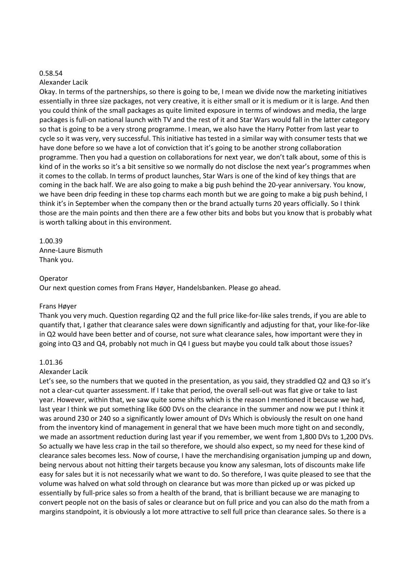#### 0.58.54

#### Alexander Lacik

Okay. In terms of the partnerships, so there is going to be, I mean we divide now the marketing initiatives essentially in three size packages, not very creative, it is either small or it is medium or it is large. And then you could think of the small packages as quite limited exposure in terms of windows and media, the large packages is full-on national launch with TV and the rest of it and Star Wars would fall in the latter category so that is going to be a very strong programme. I mean, we also have the Harry Potter from last year to cycle so it was very, very successful. This initiative has tested in a similar way with consumer tests that we have done before so we have a lot of conviction that it's going to be another strong collaboration programme. Then you had a question on collaborations for next year, we don't talk about, some of this is kind of in the works so it's a bit sensitive so we normally do not disclose the next year's programmes when it comes to the collab. In terms of product launches, Star Wars is one of the kind of key things that are coming in the back half. We are also going to make a big push behind the 20-year anniversary. You know, we have been drip feeding in these top charms each month but we are going to make a big push behind, I think it's in September when the company then or the brand actually turns 20 years officially. So I think those are the main points and then there are a few other bits and bobs but you know that is probably what is worth talking about in this environment.

### 1.00.39

Anne-Laure Bismuth Thank you.

### Operator

Our next question comes from Frans Høyer, Handelsbanken. Please go ahead.

# Frans Høyer

Thank you very much. Question regarding Q2 and the full price like-for-like sales trends, if you are able to quantify that, I gather that clearance sales were down significantly and adjusting for that, your like-for-like in Q2 would have been better and of course, not sure what clearance sales, how important were they in going into Q3 and Q4, probably not much in Q4 I guess but maybe you could talk about those issues?

# 1.01.36

# Alexander Lacik

Let's see, so the numbers that we quoted in the presentation, as you said, they straddled Q2 and Q3 so it's not a clear-cut quarter assessment. If I take that period, the overall sell-out was flat give or take to last year. However, within that, we saw quite some shifts which is the reason I mentioned it because we had, last year I think we put something like 600 DVs on the clearance in the summer and now we put I think it was around 230 or 240 so a significantly lower amount of DVs Which is obviously the result on one hand from the inventory kind of management in general that we have been much more tight on and secondly, we made an assortment reduction during last year if you remember, we went from 1,800 DVs to 1,200 DVs. So actually we have less crap in the tail so therefore, we should also expect, so my need for these kind of clearance sales becomes less. Now of course, I have the merchandising organisation jumping up and down, being nervous about not hitting their targets because you know any salesman, lots of discounts make life easy for sales but it is not necessarily what we want to do. So therefore, I was quite pleased to see that the volume was halved on what sold through on clearance but was more than picked up or was picked up essentially by full-price sales so from a health of the brand, that is brilliant because we are managing to convert people not on the basis of sales or clearance but on full price and you can also do the math from a margins standpoint, it is obviously a lot more attractive to sell full price than clearance sales. So there is a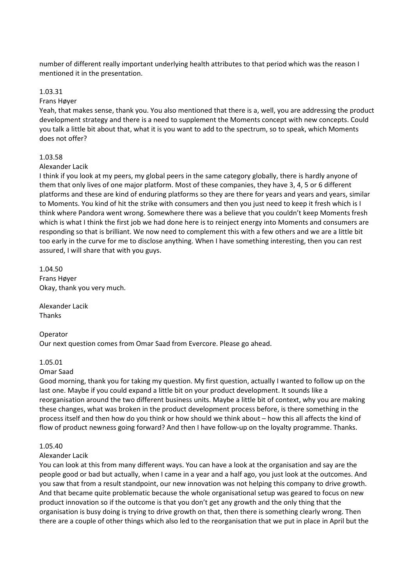number of different really important underlying health attributes to that period which was the reason I mentioned it in the presentation.

# 1.03.31

#### Frans Høyer

Yeah, that makes sense, thank you. You also mentioned that there is a, well, you are addressing the product development strategy and there is a need to supplement the Moments concept with new concepts. Could you talk a little bit about that, what it is you want to add to the spectrum, so to speak, which Moments does not offer?

# 1.03.58

### Alexander Lacik

I think if you look at my peers, my global peers in the same category globally, there is hardly anyone of them that only lives of one major platform. Most of these companies, they have 3, 4, 5 or 6 different platforms and these are kind of enduring platforms so they are there for years and years and years, similar to Moments. You kind of hit the strike with consumers and then you just need to keep it fresh which is I think where Pandora went wrong. Somewhere there was a believe that you couldn't keep Moments fresh which is what I think the first job we had done here is to reinject energy into Moments and consumers are responding so that is brilliant. We now need to complement this with a few others and we are a little bit too early in the curve for me to disclose anything. When I have something interesting, then you can rest assured, I will share that with you guys.

1.04.50 Frans Høyer Okay, thank you very much.

Alexander Lacik Thanks

Operator Our next question comes from Omar Saad from Evercore. Please go ahead.

#### 1.05.01

# Omar Saad

Good morning, thank you for taking my question. My first question, actually I wanted to follow up on the last one. Maybe if you could expand a little bit on your product development. It sounds like a reorganisation around the two different business units. Maybe a little bit of context, why you are making these changes, what was broken in the product development process before, is there something in the process itself and then how do you think or how should we think about – how this all affects the kind of flow of product newness going forward? And then I have follow-up on the loyalty programme. Thanks.

# 1.05.40

# Alexander Lacik

You can look at this from many different ways. You can have a look at the organisation and say are the people good or bad but actually, when I came in a year and a half ago, you just look at the outcomes. And you saw that from a result standpoint, our new innovation was not helping this company to drive growth. And that became quite problematic because the whole organisational setup was geared to focus on new product innovation so if the outcome is that you don't get any growth and the only thing that the organisation is busy doing is trying to drive growth on that, then there is something clearly wrong. Then there are a couple of other things which also led to the reorganisation that we put in place in April but the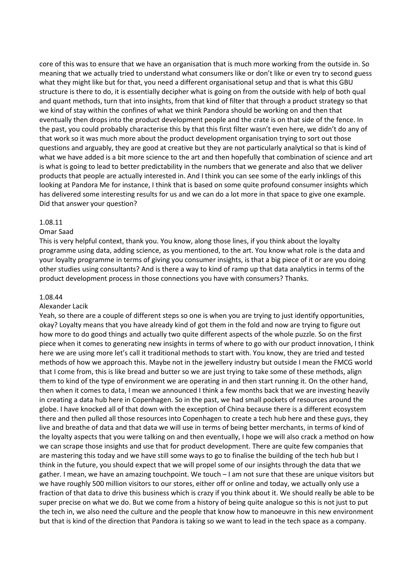core of this was to ensure that we have an organisation that is much more working from the outside in. So meaning that we actually tried to understand what consumers like or don't like or even try to second guess what they might like but for that, you need a different organisational setup and that is what this GBU structure is there to do, it is essentially decipher what is going on from the outside with help of both qual and quant methods, turn that into insights, from that kind of filter that through a product strategy so that we kind of stay within the confines of what we think Pandora should be working on and then that eventually then drops into the product development people and the crate is on that side of the fence. In the past, you could probably characterise this by that this first filter wasn't even here, we didn't do any of that work so it was much more about the product development organisation trying to sort out those questions and arguably, they are good at creative but they are not particularly analytical so that is kind of what we have added is a bit more science to the art and then hopefully that combination of science and art is what is going to lead to better predictability in the numbers that we generate and also that we deliver products that people are actually interested in. And I think you can see some of the early inklings of this looking at Pandora Me for instance, I think that is based on some quite profound consumer insights which has delivered some interesting results for us and we can do a lot more in that space to give one example. Did that answer your question?

### 1.08.11

### Omar Saad

This is very helpful context, thank you. You know, along those lines, if you think about the loyalty programme using data, adding science, as you mentioned, to the art. You know what role is the data and your loyalty programme in terms of giving you consumer insights, is that a big piece of it or are you doing other studies using consultants? And is there a way to kind of ramp up that data analytics in terms of the product development process in those connections you have with consumers? Thanks.

#### 1.08.44

#### Alexander Lacik

Yeah, so there are a couple of different steps so one is when you are trying to just identify opportunities, okay? Loyalty means that you have already kind of got them in the fold and now are trying to figure out how more to do good things and actually two quite different aspects of the whole puzzle. So on the first piece when it comes to generating new insights in terms of where to go with our product innovation, I think here we are using more let's call it traditional methods to start with. You know, they are tried and tested methods of how we approach this. Maybe not in the jewellery industry but outside I mean the FMCG world that I come from, this is like bread and butter so we are just trying to take some of these methods, align them to kind of the type of environment we are operating in and then start running it. On the other hand, then when it comes to data, I mean we announced I think a few months back that we are investing heavily in creating a data hub here in Copenhagen. So in the past, we had small pockets of resources around the globe. I have knocked all of that down with the exception of China because there is a different ecosystem there and then pulled all those resources into Copenhagen to create a tech hub here and these guys, they live and breathe of data and that data we will use in terms of being better merchants, in terms of kind of the loyalty aspects that you were talking on and then eventually, I hope we will also crack a method on how we can scrape those insights and use that for product development. There are quite few companies that are mastering this today and we have still some ways to go to finalise the building of the tech hub but I think in the future, you should expect that we will propel some of our insights through the data that we gather. I mean, we have an amazing touchpoint. We touch – I am not sure that these are unique visitors but we have roughly 500 million visitors to our stores, either off or online and today, we actually only use a fraction of that data to drive this business which is crazy if you think about it. We should really be able to be super precise on what we do. But we come from a history of being quite analogue so this is not just to put the tech in, we also need the culture and the people that know how to manoeuvre in this new environment but that is kind of the direction that Pandora is taking so we want to lead in the tech space as a company.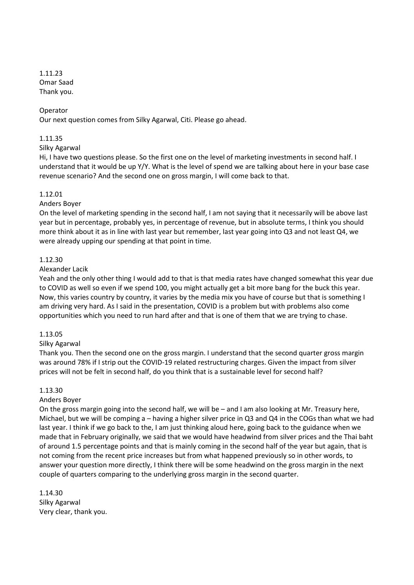1.11.23 Omar Saad Thank you.

#### Operator

Our next question comes from Silky Agarwal, Citi. Please go ahead.

#### 1.11.35

#### Silky Agarwal

Hi, I have two questions please. So the first one on the level of marketing investments in second half. I understand that it would be up Y/Y. What is the level of spend we are talking about here in your base case revenue scenario? And the second one on gross margin, I will come back to that.

#### 1.12.01

### Anders Boyer

On the level of marketing spending in the second half, I am not saying that it necessarily will be above last year but in percentage, probably yes, in percentage of revenue, but in absolute terms, I think you should more think about it as in line with last year but remember, last year going into Q3 and not least Q4, we were already upping our spending at that point in time.

### 1.12.30

### Alexander Lacik

Yeah and the only other thing I would add to that is that media rates have changed somewhat this year due to COVID as well so even if we spend 100, you might actually get a bit more bang for the buck this year. Now, this varies country by country, it varies by the media mix you have of course but that is something I am driving very hard. As I said in the presentation, COVID is a problem but with problems also come opportunities which you need to run hard after and that is one of them that we are trying to chase.

#### 1.13.05

# Silky Agarwal

Thank you. Then the second one on the gross margin. I understand that the second quarter gross margin was around 78% if I strip out the COVID-19 related restructuring charges. Given the impact from silver prices will not be felt in second half, do you think that is a sustainable level for second half?

#### 1.13.30

# Anders Boyer

On the gross margin going into the second half, we will be – and I am also looking at Mr. Treasury here, Michael, but we will be comping a – having a higher silver price in Q3 and Q4 in the COGs than what we had last year. I think if we go back to the, I am just thinking aloud here, going back to the guidance when we made that in February originally, we said that we would have headwind from silver prices and the Thai baht of around 1.5 percentage points and that is mainly coming in the second half of the year but again, that is not coming from the recent price increases but from what happened previously so in other words, to answer your question more directly, I think there will be some headwind on the gross margin in the next couple of quarters comparing to the underlying gross margin in the second quarter.

1.14.30 Silky Agarwal Very clear, thank you.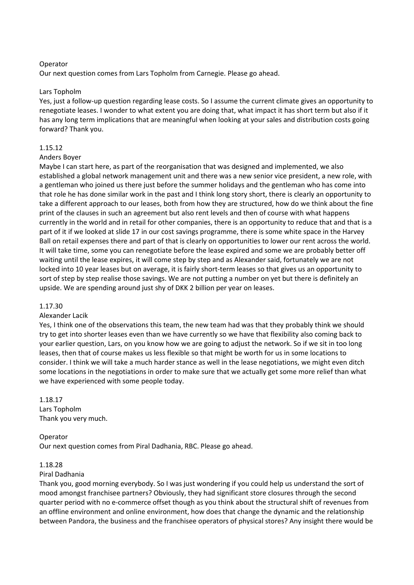# Operator

Our next question comes from Lars Topholm from Carnegie. Please go ahead.

# Lars Topholm

Yes, just a follow-up question regarding lease costs. So I assume the current climate gives an opportunity to renegotiate leases. I wonder to what extent you are doing that, what impact it has short term but also if it has any long term implications that are meaningful when looking at your sales and distribution costs going forward? Thank you.

# 1.15.12

# Anders Boyer

Maybe I can start here, as part of the reorganisation that was designed and implemented, we also established a global network management unit and there was a new senior vice president, a new role, with a gentleman who joined us there just before the summer holidays and the gentleman who has come into that role he has done similar work in the past and I think long story short, there is clearly an opportunity to take a different approach to our leases, both from how they are structured, how do we think about the fine print of the clauses in such an agreement but also rent levels and then of course with what happens currently in the world and in retail for other companies, there is an opportunity to reduce that and that is a part of it if we looked at slide 17 in our cost savings programme, there is some white space in the Harvey Ball on retail expenses there and part of that is clearly on opportunities to lower our rent across the world. It will take time, some you can renegotiate before the lease expired and some we are probably better off waiting until the lease expires, it will come step by step and as Alexander said, fortunately we are not locked into 10 year leases but on average, it is fairly short-term leases so that gives us an opportunity to sort of step by step realise those savings. We are not putting a number on yet but there is definitely an upside. We are spending around just shy of DKK 2 billion per year on leases.

# 1.17.30

# Alexander Lacik

Yes, I think one of the observations this team, the new team had was that they probably think we should try to get into shorter leases even than we have currently so we have that flexibility also coming back to your earlier question, Lars, on you know how we are going to adjust the network. So if we sit in too long leases, then that of course makes us less flexible so that might be worth for us in some locations to consider. I think we will take a much harder stance as well in the lease negotiations, we might even ditch some locations in the negotiations in order to make sure that we actually get some more relief than what we have experienced with some people today.

# 1.18.17

Lars Topholm Thank you very much.

# Operator

Our next question comes from Piral Dadhania, RBC. Please go ahead.

# 1.18.28

# Piral Dadhania

Thank you, good morning everybody. So I was just wondering if you could help us understand the sort of mood amongst franchisee partners? Obviously, they had significant store closures through the second quarter period with no e-commerce offset though as you think about the structural shift of revenues from an offline environment and online environment, how does that change the dynamic and the relationship between Pandora, the business and the franchisee operators of physical stores? Any insight there would be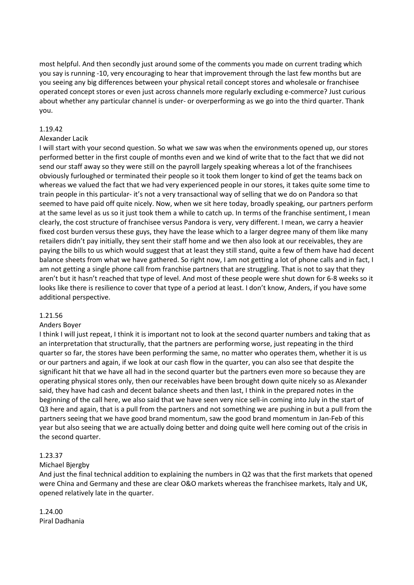most helpful. And then secondly just around some of the comments you made on current trading which you say is running -10, very encouraging to hear that improvement through the last few months but are you seeing any big differences between your physical retail concept stores and wholesale or franchisee operated concept stores or even just across channels more regularly excluding e-commerce? Just curious about whether any particular channel is under- or overperforming as we go into the third quarter. Thank you.

# 1.19.42

# Alexander Lacik

I will start with your second question. So what we saw was when the environments opened up, our stores performed better in the first couple of months even and we kind of write that to the fact that we did not send our staff away so they were still on the payroll largely speaking whereas a lot of the franchisees obviously furloughed or terminated their people so it took them longer to kind of get the teams back on whereas we valued the fact that we had very experienced people in our stores, it takes quite some time to train people in this particular- it's not a very transactional way of selling that we do on Pandora so that seemed to have paid off quite nicely. Now, when we sit here today, broadly speaking, our partners perform at the same level as us so it just took them a while to catch up. In terms of the franchise sentiment, I mean clearly, the cost structure of franchisee versus Pandora is very, very different. I mean, we carry a heavier fixed cost burden versus these guys, they have the lease which to a larger degree many of them like many retailers didn't pay initially, they sent their staff home and we then also look at our receivables, they are paying the bills to us which would suggest that at least they still stand, quite a few of them have had decent balance sheets from what we have gathered. So right now, I am not getting a lot of phone calls and in fact, I am not getting a single phone call from franchise partners that are struggling. That is not to say that they aren't but it hasn't reached that type of level. And most of these people were shut down for 6-8 weeks so it looks like there is resilience to cover that type of a period at least. I don't know, Anders, if you have some additional perspective.

# 1.21.56

# Anders Boyer

I think I will just repeat, I think it is important not to look at the second quarter numbers and taking that as an interpretation that structurally, that the partners are performing worse, just repeating in the third quarter so far, the stores have been performing the same, no matter who operates them, whether it is us or our partners and again, if we look at our cash flow in the quarter, you can also see that despite the significant hit that we have all had in the second quarter but the partners even more so because they are operating physical stores only, then our receivables have been brought down quite nicely so as Alexander said, they have had cash and decent balance sheets and then last, I think in the prepared notes in the beginning of the call here, we also said that we have seen very nice sell-in coming into July in the start of Q3 here and again, that is a pull from the partners and not something we are pushing in but a pull from the partners seeing that we have good brand momentum, saw the good brand momentum in Jan-Feb of this year but also seeing that we are actually doing better and doing quite well here coming out of the crisis in the second quarter.

# 1.23.37

# Michael Bjergby

And just the final technical addition to explaining the numbers in Q2 was that the first markets that opened were China and Germany and these are clear O&O markets whereas the franchisee markets, Italy and UK, opened relatively late in the quarter.

1.24.00 Piral Dadhania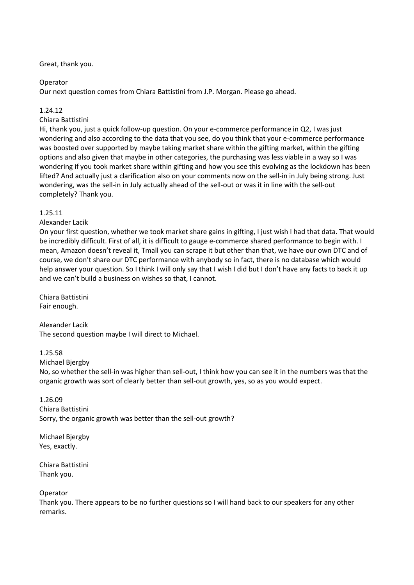# Great, thank you.

# Operator

Our next question comes from Chiara Battistini from J.P. Morgan. Please go ahead.

# 1.24.12

Chiara Battistini

Hi, thank you, just a quick follow-up question. On your e-commerce performance in Q2, I was just wondering and also according to the data that you see, do you think that your e-commerce performance was boosted over supported by maybe taking market share within the gifting market, within the gifting options and also given that maybe in other categories, the purchasing was less viable in a way so I was wondering if you took market share within gifting and how you see this evolving as the lockdown has been lifted? And actually just a clarification also on your comments now on the sell-in in July being strong. Just wondering, was the sell-in in July actually ahead of the sell-out or was it in line with the sell-out completely? Thank you.

# 1.25.11

Alexander Lacik

On your first question, whether we took market share gains in gifting, I just wish I had that data. That would be incredibly difficult. First of all, it is difficult to gauge e-commerce shared performance to begin with. I mean, Amazon doesn't reveal it, Tmall you can scrape it but other than that, we have our own DTC and of course, we don't share our DTC performance with anybody so in fact, there is no database which would help answer your question. So I think I will only say that I wish I did but I don't have any facts to back it up and we can't build a business on wishes so that, I cannot.

Chiara Battistini Fair enough.

Alexander Lacik The second question maybe I will direct to Michael.

# 1.25.58

Michael Bjergby

No, so whether the sell-in was higher than sell-out, I think how you can see it in the numbers was that the organic growth was sort of clearly better than sell-out growth, yes, so as you would expect.

1.26.09 Chiara Battistini Sorry, the organic growth was better than the sell-out growth?

Michael Bjergby Yes, exactly.

Chiara Battistini Thank you.

Operator

Thank you. There appears to be no further questions so I will hand back to our speakers for any other remarks.